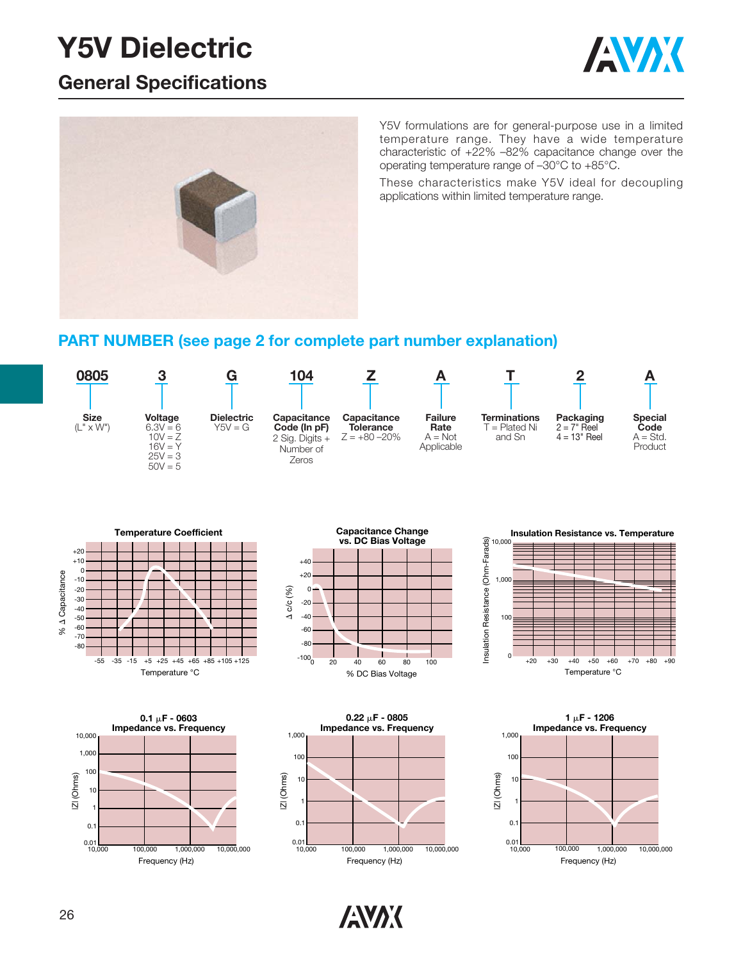# **Y5V Dielectric**

### **General Specifications**





Y5V formulations are for general-purpose use in a limited temperature range. They have a wide temperature characteristic of +22% –82% capacitance change over the operating temperature range of –30°C to +85°C.

These characteristics make Y5V ideal for decoupling applications within limited temperature range.

#### **PART NUMBER (see page 2 for complete part number explanation)**















**ANAK**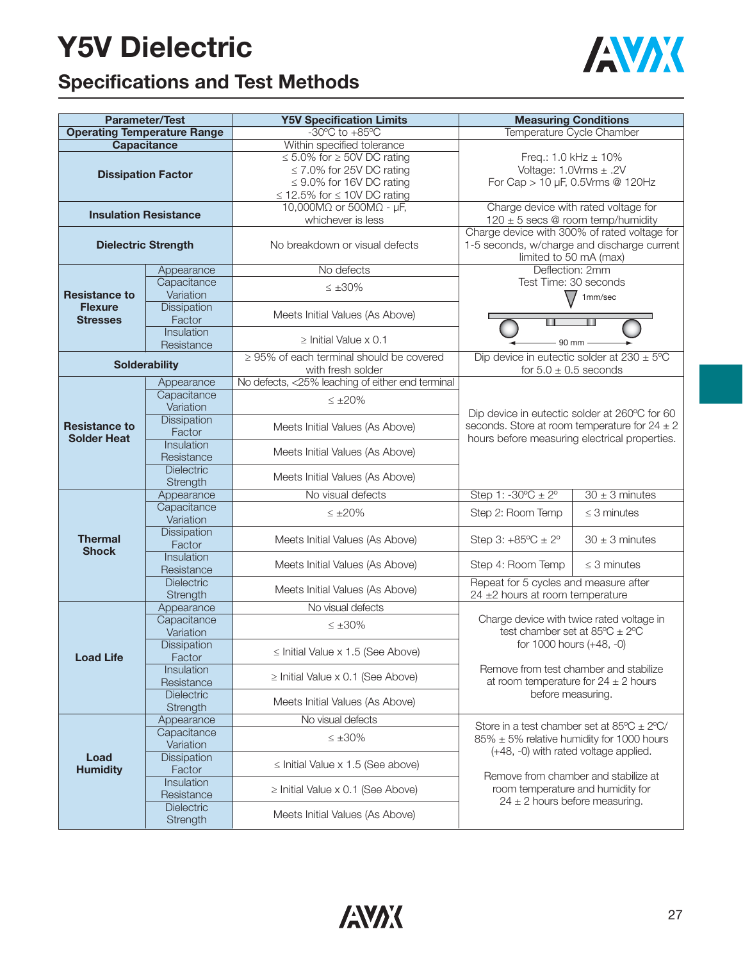# **Y5V Dielectric**



## **Specifications and Test Methods**

|                                            | <b>Parameter/Test</b>              | <b>Y5V Specification Limits</b>                  | <b>Measuring Conditions</b>                                                                        |                           |  |  |  |  |  |  |  |
|--------------------------------------------|------------------------------------|--------------------------------------------------|----------------------------------------------------------------------------------------------------|---------------------------|--|--|--|--|--|--|--|
|                                            | <b>Operating Temperature Range</b> | $-30^{\circ}$ C to $+85^{\circ}$ C               |                                                                                                    | Temperature Cycle Chamber |  |  |  |  |  |  |  |
|                                            | <b>Capacitance</b>                 | Within specified tolerance                       |                                                                                                    |                           |  |  |  |  |  |  |  |
|                                            |                                    | $\leq 5.0\%$ for $\geq 50$ V DC rating           | Freq.: 1.0 kHz $\pm$ 10%<br>Voltage: $1.0Vrms \pm .2V$<br>For Cap > 10 µF, 0.5Vrms @ 120Hz         |                           |  |  |  |  |  |  |  |
|                                            | <b>Dissipation Factor</b>          | $\leq$ 7.0% for 25V DC rating                    |                                                                                                    |                           |  |  |  |  |  |  |  |
|                                            |                                    | $\leq$ 9.0% for 16V DC rating                    |                                                                                                    |                           |  |  |  |  |  |  |  |
|                                            |                                    | $\leq$ 12.5% for $\leq$ 10V DC rating            |                                                                                                    |                           |  |  |  |  |  |  |  |
|                                            | <b>Insulation Resistance</b>       | 10,000M $\Omega$ or 500M $\Omega$ - $\mu$ F,     | Charge device with rated voltage for<br>$120 \pm 5$ secs @ room temp/humidity                      |                           |  |  |  |  |  |  |  |
|                                            |                                    | whichever is less                                | Charge device with 300% of rated voltage for                                                       |                           |  |  |  |  |  |  |  |
| <b>Dielectric Strength</b>                 |                                    | No breakdown or visual defects                   | 1-5 seconds, w/charge and discharge current<br>limited to 50 mA (max)                              |                           |  |  |  |  |  |  |  |
| <b>Resistance to</b>                       | Appearance                         | No defects                                       | Deflection: 2mm<br>Test Time: 30 seconds                                                           |                           |  |  |  |  |  |  |  |
|                                            | Capacitance                        | $\leq \pm 30\%$                                  |                                                                                                    |                           |  |  |  |  |  |  |  |
|                                            | Variation                          |                                                  | $\setminus$                                                                                        | 1mm/sec                   |  |  |  |  |  |  |  |
| <b>Flexure</b>                             | <b>Dissipation</b>                 | Meets Initial Values (As Above)                  |                                                                                                    |                           |  |  |  |  |  |  |  |
| <b>Stresses</b>                            | Factor                             |                                                  |                                                                                                    |                           |  |  |  |  |  |  |  |
|                                            | Insulation                         | $\ge$ Initial Value x 0.1                        | 90 mm                                                                                              |                           |  |  |  |  |  |  |  |
|                                            | Resistance                         | $\geq$ 95% of each terminal should be covered    | Dip device in eutectic solder at $230 \pm 5^{\circ}$ C                                             |                           |  |  |  |  |  |  |  |
|                                            | <b>Solderability</b>               | with fresh solder                                | for $5.0 \pm 0.5$ seconds                                                                          |                           |  |  |  |  |  |  |  |
|                                            | Appearance                         | No defects, <25% leaching of either end terminal |                                                                                                    |                           |  |  |  |  |  |  |  |
| <b>Resistance to</b><br><b>Solder Heat</b> | Capacitance                        |                                                  |                                                                                                    |                           |  |  |  |  |  |  |  |
|                                            | Variation                          | $\leq \pm 20\%$                                  | Dip device in eutectic solder at 260°C for 60                                                      |                           |  |  |  |  |  |  |  |
|                                            | <b>Dissipation</b>                 |                                                  |                                                                                                    |                           |  |  |  |  |  |  |  |
|                                            | Factor                             | Meets Initial Values (As Above)                  | seconds. Store at room temperature for $24 \pm 2$<br>hours before measuring electrical properties. |                           |  |  |  |  |  |  |  |
|                                            | Insulation                         |                                                  |                                                                                                    |                           |  |  |  |  |  |  |  |
|                                            | Resistance                         | Meets Initial Values (As Above)                  |                                                                                                    |                           |  |  |  |  |  |  |  |
|                                            | Dielectric                         | Meets Initial Values (As Above)                  |                                                                                                    |                           |  |  |  |  |  |  |  |
|                                            | Strength                           |                                                  |                                                                                                    |                           |  |  |  |  |  |  |  |
|                                            | Appearance                         | No visual defects                                | Step 1: $-30^{\circ}C \pm 2^{\circ}$                                                               | $30 \pm 3$ minutes        |  |  |  |  |  |  |  |
|                                            | Capacitance<br>Variation           | $\leq \pm 20\%$                                  | Step 2: Room Temp                                                                                  | $\leq$ 3 minutes          |  |  |  |  |  |  |  |
|                                            | <b>Dissipation</b>                 |                                                  |                                                                                                    |                           |  |  |  |  |  |  |  |
| <b>Thermal</b>                             | Factor                             | Meets Initial Values (As Above)                  | Step 3: $+85^{\circ}C \pm 2^{\circ}$                                                               | $30 \pm 3$ minutes        |  |  |  |  |  |  |  |
| <b>Shock</b>                               | Insulation                         |                                                  |                                                                                                    |                           |  |  |  |  |  |  |  |
|                                            | Resistance                         | Meets Initial Values (As Above)                  | Step 4: Room Temp                                                                                  | $\leq$ 3 minutes          |  |  |  |  |  |  |  |
|                                            | Dielectric                         | Meets Initial Values (As Above)                  | Repeat for 5 cycles and measure after                                                              |                           |  |  |  |  |  |  |  |
|                                            | Strength                           |                                                  | 24 ±2 hours at room temperature                                                                    |                           |  |  |  |  |  |  |  |
|                                            | Appearance                         | No visual defects                                |                                                                                                    |                           |  |  |  |  |  |  |  |
|                                            | Capacitance                        | $\leq \pm 30\%$                                  | Charge device with twice rated voltage in<br>test chamber set at $85^{\circ}C \pm 2^{\circ}C$      |                           |  |  |  |  |  |  |  |
|                                            | Variation                          |                                                  |                                                                                                    | for 1000 hours (+48, -0)  |  |  |  |  |  |  |  |
| <b>Load Life</b>                           | Dissipation<br><b>Factor</b>       | $\le$ Initial Value x 1.5 (See Above)            |                                                                                                    |                           |  |  |  |  |  |  |  |
|                                            | Insulation                         |                                                  | Remove from test chamber and stabilize                                                             |                           |  |  |  |  |  |  |  |
|                                            | Resistance                         | $\ge$ Initial Value x 0.1 (See Above)            | at room temperature for $24 \pm 2$ hours                                                           |                           |  |  |  |  |  |  |  |
|                                            | Dielectric                         |                                                  | before measuring.                                                                                  |                           |  |  |  |  |  |  |  |
|                                            | Strength                           | Meets Initial Values (As Above)                  |                                                                                                    |                           |  |  |  |  |  |  |  |
|                                            | Appearance                         | No visual defects                                | Store in a test chamber set at $85^{\circ}$ C $\pm$ 2°C/                                           |                           |  |  |  |  |  |  |  |
|                                            | Capacitance                        | $\leq \pm 30\%$                                  | $85\% \pm 5\%$ relative humidity for 1000 hours                                                    |                           |  |  |  |  |  |  |  |
| Load<br><b>Humidity</b>                    | Variation                          |                                                  | (+48, -0) with rated voltage applied.                                                              |                           |  |  |  |  |  |  |  |
|                                            | Dissipation                        | $\le$ Initial Value x 1.5 (See above)            |                                                                                                    |                           |  |  |  |  |  |  |  |
|                                            | Factor<br>Insulation               |                                                  | Remove from chamber and stabilize at                                                               |                           |  |  |  |  |  |  |  |
|                                            | Resistance                         | $\geq$ Initial Value x 0.1 (See Above)           | room temperature and humidity for<br>$24 \pm 2$ hours before measuring.                            |                           |  |  |  |  |  |  |  |
|                                            | Dielectric                         |                                                  |                                                                                                    |                           |  |  |  |  |  |  |  |
|                                            | Strength                           | Meets Initial Values (As Above)                  |                                                                                                    |                           |  |  |  |  |  |  |  |
|                                            |                                    |                                                  |                                                                                                    |                           |  |  |  |  |  |  |  |